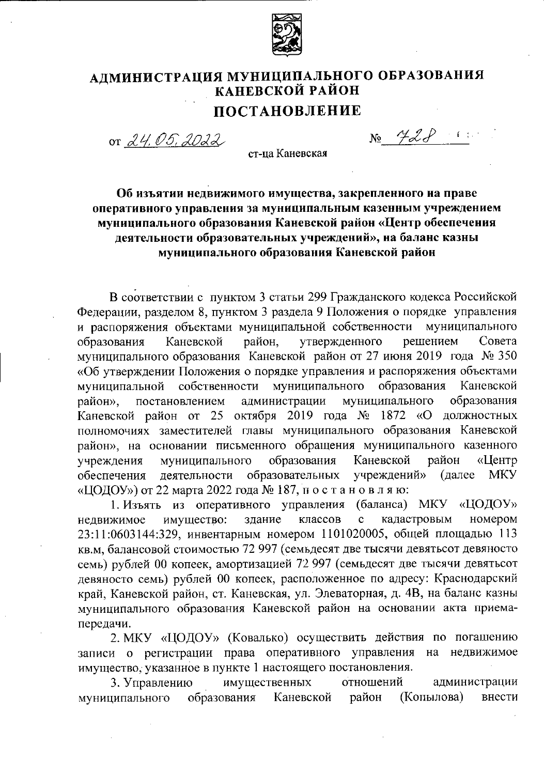

## АДМИНИСТРАЦИЯ МУНИЦИПАЛЬНОГО ОБРАЗОВАНИЯ КАНЕВСКОЙ РАЙОН

## **ПОСТАНОВЛЕНИЕ**

or 24, 05, 2022

 $N_2$   $428$ 

ст-па Каневская

## Об изъятии недвижимого имущества, закрепленного на праве оперативного управления за муниципальным казенным учреждением муниципального образования Каневской район «Центр обеспечения деятельности образовательных учреждений», на баланс казны муниципального образования Каневской район

В соответствии с пунктом 3 статьи 299 Гражданского кодекса Российской Федерации, разделом 8, пунктом 3 раздела 9 Положения о порядке управления и распоряжения объектами муниципальной собственности муниципального образования Каневской район. утвержденного решением Совета муниципального образования Каневской район от 27 июня 2019 года № 350 «Об утверждении Положения о порядке управления и распоряжения объектами собственности муниципального образования муниципальной Каневской образования постановлением администрации муниципального район». Каневской район от 25 октября 2019 года № 1872 «О должностных полномочиях заместителей главы муниципального образования Каневской район», на основании письменного обращения муниципального казенного Каневской учреждения образования район «Центр муниципального образовательных обеспечения деятельности учреждений» (далее **MKY** «ЦОДОУ») от 22 марта 2022 года № 187, по становляю:

1. Изъять из оперативного управления (баланса) МКУ «ЦОДОУ» кадастровым номером недвижимое имущество: здание классов  $\ddot{\textbf{c}}$ 23:11:0603144:329, инвентарным номером 1101020005, общей площадью 113 кв.м, балансовой стоимостью 72 997 (семьдесят две тысячи девятьсот девяносто семь) рублей 00 копеек, амортизацией 72 997 (семьдесят две тысячи девятьсот девяносто семь) рублей 00 копеек, расположенное по адресу: Краснодарский край, Каневской район, ст. Каневская, ул. Элеваторная, д. 4В, на баланс казны муниципального образования Каневской район на основании акта приемапередачи.

2. МКУ «ЦОДОУ» (Ковалько) осуществить действия по погашению записи о регистрации права оперативного управления на недвижимое имущество, указанное в пункте 1 настоящего постановления.

3. Управлению имущественных отношений администрации образования (Копылова) Каневской район внести муниципального